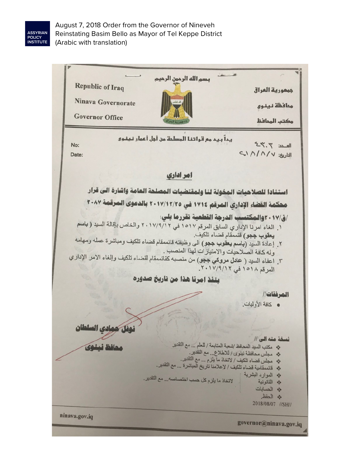

August 7, 2018 Order from the Governor of Nineveh Reinstating Basim Bello as Mayor of Tel Keppe District (Arabic with translation)

بسم الله الرحمن الرحيم **Republic of Iraq** جممورية العراق Ninava Governorate مما فظة فيغوى **Governor Office** مكتب المحافظ يداً بيد مع قواتنا المسلمة من أجل أعمار نينوي No:  $12.7.7$ التاريخ: ١٨/٨/١ Date: امر اداری استنادا للصلاحيات المخولة لنا ولمقتضيات المصلحة العامة واشارة الى قرار محكمة القضاء الإداري المرقم ١٧١٤ في ٢٠١٧/١٢/٢٥ ٢٠ بالدعوى المرقعة ٢٠٨٧ ١. الغاء امرنا الإداري السابق المرقم ١٥١٧ في ٢٠١٧/٩/١٢ والخاص بإقالة السيد ( باسم يعقوب ججو) قنممقام قضاء تلكيف. يعقوب ججو<sub>)</sub> متمقدم مصناء تشبيت.<br>٢ ـ إعادة السيد **(باسم يعقوب ججو)** الى وظيفته قائممقام قضاء تلكيف ومباشرة عمله ومهامه وله كافة الصلاحيات والامتيازات لهذا المنصب . وله حاقه الصلاحيات و الامتياز ات تهيا المستقب.<br>٣. اعفاء السيد ( ع**ادل مروكي ججو**) من منصبه كقائممقام لقضاء تلكيف وإلغاء الامر الإداري المرقم ١٥١٨ في ١٧/٩/١٢. ينفذ امرنا هذا من تاريخ صدوره المرفقات// · كافة الأوليات. وفل حمادي السلطان نسخة منه الى // \* مكتب السيد المحافظ /شعبة المتابعة / للعلم ... مع التقدير حافظ نينهى \* مطس محافظة نينوى / للاطلاع ... مع التقدير . � مجلس فصاء تلطف / 1لحاد ما يبرم ... عم السير.<br>� قائمةلمية قضاء تلكيف / لإعلامنا تاريخ المباشرة ... مع التقدير. \* الموارد البشرية لاتخاذ ما يلزم كل حسب اختصاصه... مع التقدير. \* القانونية ه الحسابات ثة الحفظ 2018/08/07 //SH// ninava.gov.iq governor@ninava.gov.iq